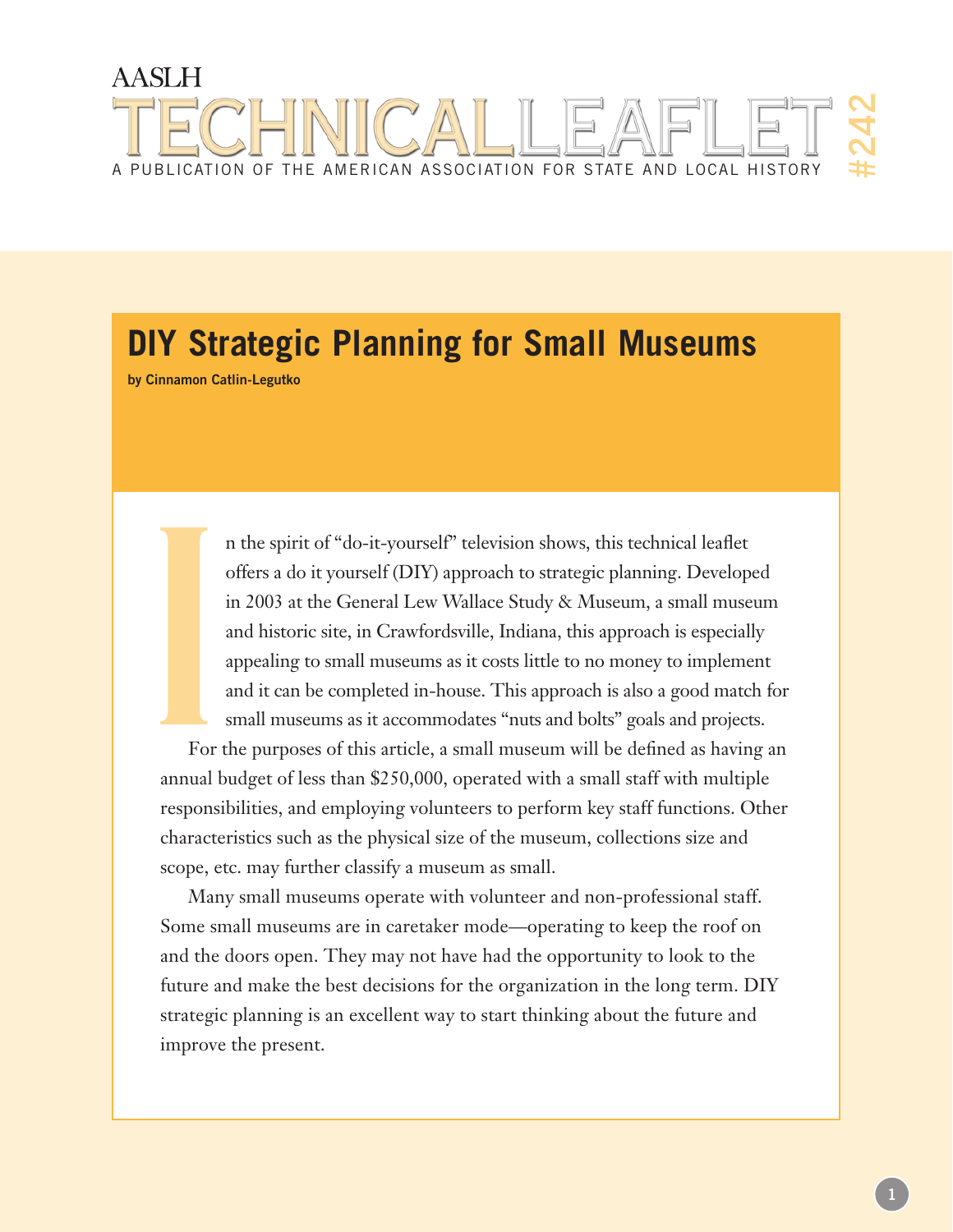# **AASLH** #242A publication of the american association for state and local history

# **DIY Strategic Planning for Small Museums**

**by Cinnamon Catlin-Legutko**

n the spirit of "do-it-yourself" television shows, this technical leaflet offers a do it yourself (DIY) approach to strategic planning. Developed in 2003 at the General Lew Wallace Study & Museum, a small museum and historic site, in Crawfordsville, Indiana, this approach is especially appealing to small museums as it costs little to no money to implement and it can be completed in-house. This approach is also a good match for small museums as it accommodates "nuts and bolts" goals and projects.

For the purposes of this article, a small museum will be defined as having an annual budget of less than \$250,000, operated with a small staff with multiple responsibilities, and employing volunteers to perform key staff functions. Other characteristics such as the physical size of the museum, collections size and scope, etc. may further classify a museum as small. For and the state of the state of the state of the state of the state of the state of the state of the state of the state of the state of the state of the state of the state of the state of the state of the state of the st

Many small museums operate with volunteer and non-professional staff. Some small museums are in caretaker mode—operating to keep the roof on and the doors open. They may not have had the opportunity to look to the future and make the best decisions for the organization in the long term. DIY strategic planning is an excellent way to start thinking about the future and improve the present.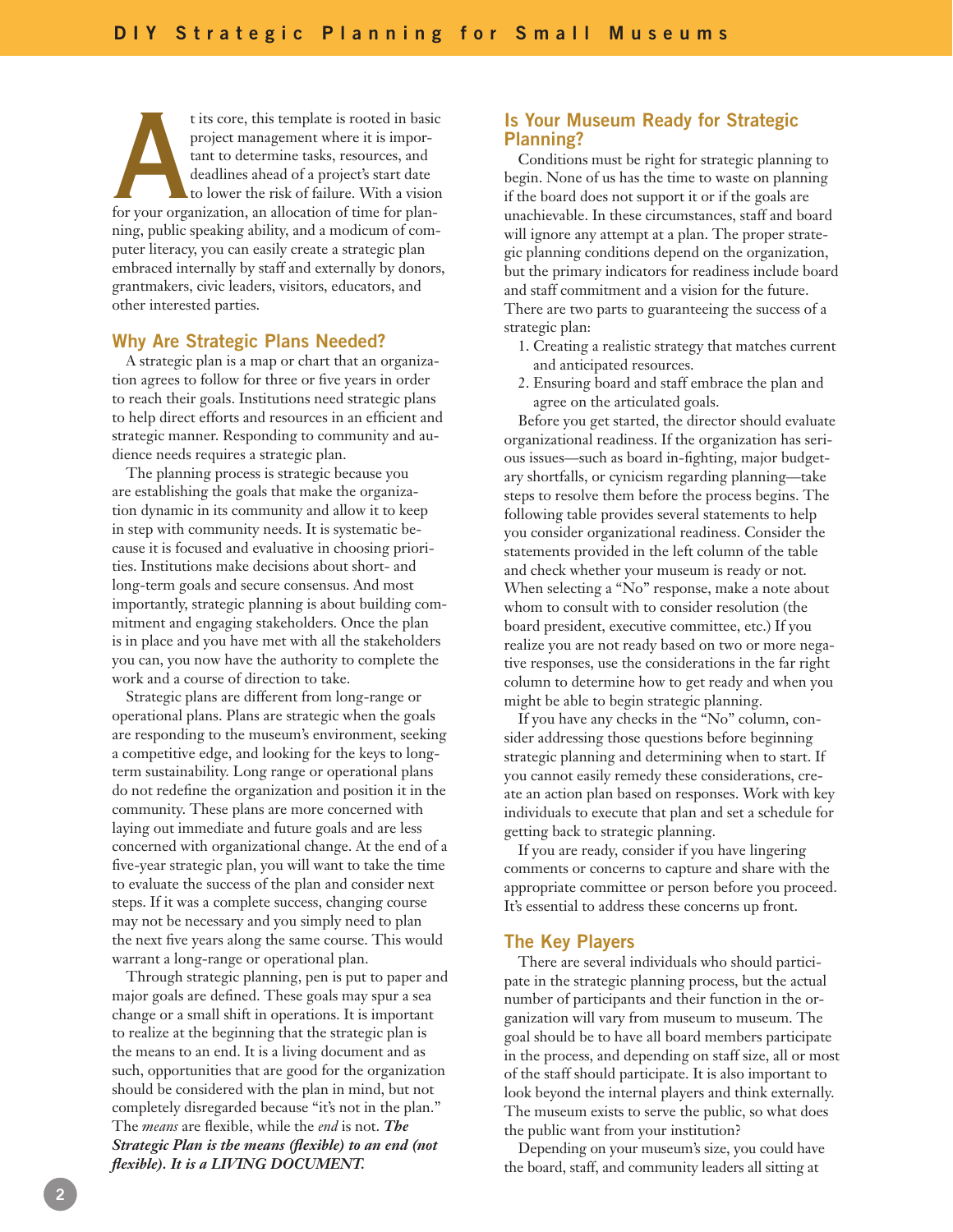t its core, this template is rooted in basic<br>project management where it is impor-<br>tant to determine tasks, resources, and<br>deadlines ahead of a project's start date<br>to lower the risk of failure. With a vision<br>for your orga project management where it is important to determine tasks, resources, and deadlines ahead of a project's start date to lower the risk of failure. With a vision ning, public speaking ability, and a modicum of computer literacy, you can easily create a strategic plan embraced internally by staff and externally by donors, grantmakers, civic leaders, visitors, educators, and other interested parties.

# **Why Are Strategic Plans Needed?**

A strategic plan is a map or chart that an organization agrees to follow for three or five years in order to reach their goals. Institutions need strategic plans to help direct efforts and resources in an efficient and strategic manner. Responding to community and audience needs requires a strategic plan.

The planning process is strategic because you are establishing the goals that make the organization dynamic in its community and allow it to keep in step with community needs. It is systematic because it is focused and evaluative in choosing priorities. Institutions make decisions about short- and long-term goals and secure consensus. And most importantly, strategic planning is about building commitment and engaging stakeholders. Once the plan is in place and you have met with all the stakeholders you can, you now have the authority to complete the work and a course of direction to take.

Strategic plans are different from long-range or operational plans. Plans are strategic when the goals are responding to the museum's environment, seeking a competitive edge, and looking for the keys to longterm sustainability. Long range or operational plans do not redefine the organization and position it in the community. These plans are more concerned with laying out immediate and future goals and are less concerned with organizational change. At the end of a five-year strategic plan, you will want to take the time to evaluate the success of the plan and consider next steps. If it was a complete success, changing course may not be necessary and you simply need to plan the next five years along the same course. This would warrant a long-range or operational plan.

Through strategic planning, pen is put to paper and major goals are defined. These goals may spur a sea change or a small shift in operations. It is important to realize at the beginning that the strategic plan is the means to an end. It is a living document and as such, opportunities that are good for the organization should be considered with the plan in mind, but not completely disregarded because "it's not in the plan." The *means* are flexible, while the *end* is not. *The Strategic Plan is the means (flexible) to an end (not flexible). It is a LIVING DOCUMENT.*

# **Is Your Museum Ready for Strategic Planning?**

Conditions must be right for strategic planning to begin. None of us has the time to waste on planning if the board does not support it or if the goals are unachievable. In these circumstances, staff and board will ignore any attempt at a plan. The proper strategic planning conditions depend on the organization, but the primary indicators for readiness include board and staff commitment and a vision for the future. There are two parts to guaranteeing the success of a strategic plan:

- 1. Creating a realistic strategy that matches current and anticipated resources.
- 2. Ensuring board and staff embrace the plan and agree on the articulated goals.

Before you get started, the director should evaluate organizational readiness. If the organization has serious issues—such as board in-fighting, major budgetary shortfalls, or cynicism regarding planning—take steps to resolve them before the process begins. The following table provides several statements to help you consider organizational readiness. Consider the statements provided in the left column of the table and check whether your museum is ready or not. When selecting a "No" response, make a note about whom to consult with to consider resolution (the board president, executive committee, etc.) If you realize you are not ready based on two or more negative responses, use the considerations in the far right column to determine how to get ready and when you might be able to begin strategic planning.

If you have any checks in the "No" column, consider addressing those questions before beginning strategic planning and determining when to start. If you cannot easily remedy these considerations, create an action plan based on responses. Work with key individuals to execute that plan and set a schedule for getting back to strategic planning.

If you are ready, consider if you have lingering comments or concerns to capture and share with the appropriate committee or person before you proceed. It's essential to address these concerns up front.

#### **The Key Players**

There are several individuals who should participate in the strategic planning process, but the actual number of participants and their function in the organization will vary from museum to museum. The goal should be to have all board members participate in the process, and depending on staff size, all or most of the staff should participate. It is also important to look beyond the internal players and think externally. The museum exists to serve the public, so what does the public want from your institution?

Depending on your museum's size, you could have the board, staff, and community leaders all sitting at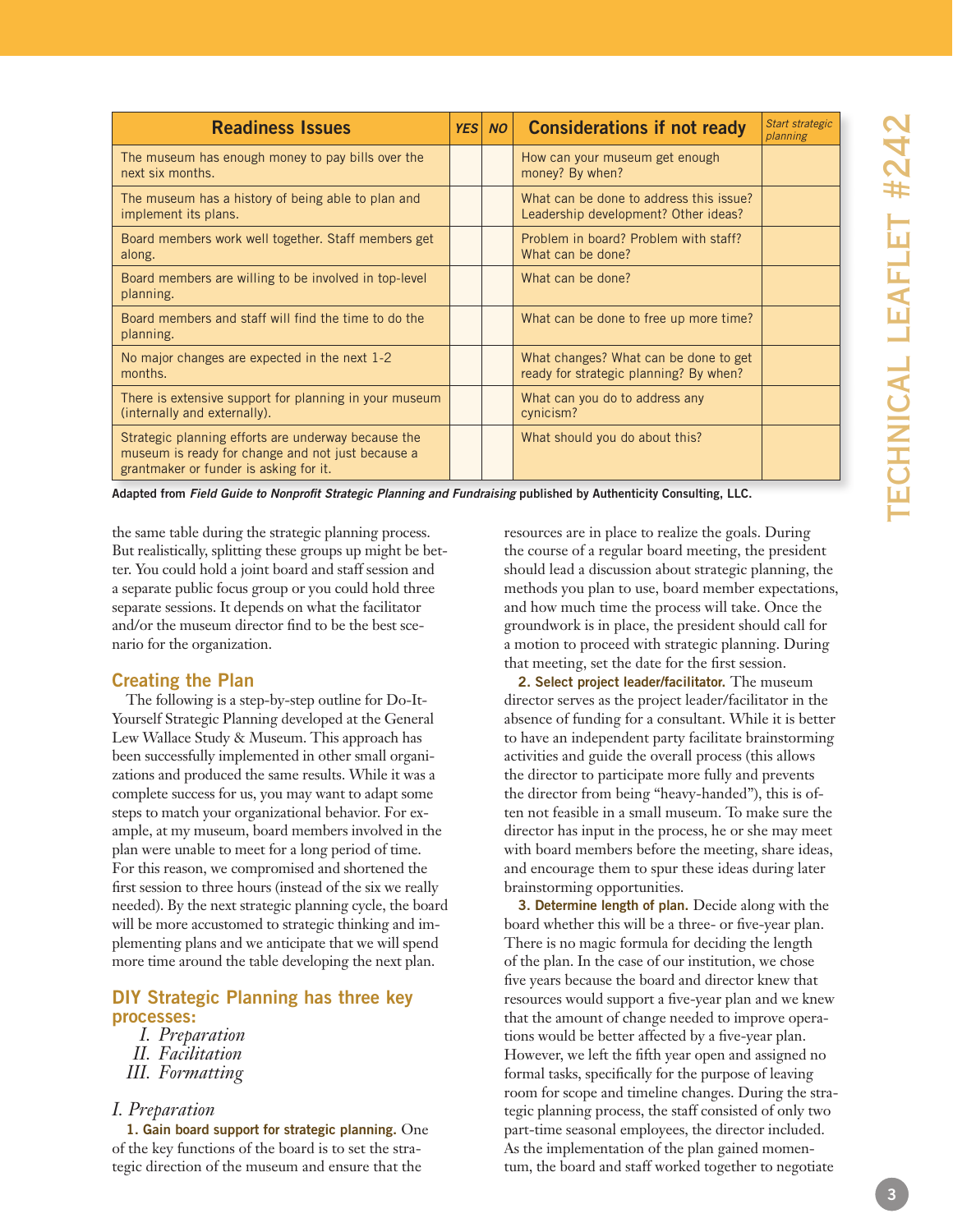| <b>Readiness Issues</b>                                                                                                                            | <b>YES</b> | <b>NO</b> | <b>Considerations if not ready</b>                                              | Start strategic<br>planning |
|----------------------------------------------------------------------------------------------------------------------------------------------------|------------|-----------|---------------------------------------------------------------------------------|-----------------------------|
| The museum has enough money to pay bills over the<br>next six months.                                                                              |            |           | How can your museum get enough<br>money? By when?                               |                             |
| The museum has a history of being able to plan and<br>implement its plans.                                                                         |            |           | What can be done to address this issue?<br>Leadership development? Other ideas? |                             |
| Board members work well together. Staff members get<br>along.                                                                                      |            |           | Problem in board? Problem with staff?<br>What can be done?                      |                             |
| Board members are willing to be involved in top-level<br>planning.                                                                                 |            |           | What can be done?                                                               |                             |
| Board members and staff will find the time to do the<br>planning.                                                                                  |            |           | What can be done to free up more time?                                          |                             |
| No major changes are expected in the next 1-2<br>months.                                                                                           |            |           | What changes? What can be done to get<br>ready for strategic planning? By when? |                             |
| There is extensive support for planning in your museum<br>(internally and externally).                                                             |            |           | What can you do to address any<br>cynicism?                                     |                             |
| Strategic planning efforts are underway because the<br>museum is ready for change and not just because a<br>grantmaker or funder is asking for it. |            |           | What should you do about this?                                                  |                             |

**Adapted from** *Field Guide to Nonprofit Strategic Planning and Fundraising* **published by Authenticity Consulting, LLC.**

the same table during the strategic planning process. But realistically, splitting these groups up might be bet ter. You could hold a joint board and staff session and a separate public focus group or you could hold three separate sessions. It depends on what the facilitator and/or the museum director find to be the best sce nario for the organization.

# **Creating the Plan**

The following is a step-by-step outline for Do-It-Yourself Strategic Planning developed at the General Lew Wallace Study & Museum. This approach has been successfully implemented in other small organi zations and produced the same results. While it was a complete success for us, you may want to adapt some steps to match your organizational behavior. For ex ample, at my museum, board members involved in the plan were unable to meet for a long period of time. For this reason, we compromised and shortened the first session to three hours (instead of the six we really needed). By the next strategic planning cycle, the board will be more accustomed to strategic thinking and implementing plans and we anticipate that we will spend more time around the table developing the next plan.

# **DIY Strategic Planning has three key processes:**

- *I. Preparation*
- *II. Facilitation*
- *III. Formatting*

# *I. Preparation*

**1. Gain board support for strategic planning.** One of the key functions of the board is to set the stra tegic direction of the museum and ensure that the

resources are in place to realize the goals. During the course of a regular board meeting, the president should lead a discussion about strategic planning, the methods you plan to use, board member expectations, and how much time the process will take. Once the groundwork is in place, the president should call for a motion to proceed with strategic planning. During that meeting, set the date for the first session.

**2. Select project leader/facilitator.** The museum director serves as the project leader/facilitator in the absence of funding for a consultant. While it is better to have an independent party facilitate brainstorming activities and guide the overall process (this allows the director to participate more fully and prevents the director from being "heavy-handed"), this is often not feasible in a small museum. To make sure the director has input in the process, he or she may meet with board members before the meeting, share ideas, and encourage them to spur these ideas during later brainstorming opportunities.

**3. Determine length of plan.** Decide along with the board whether this will be a three- or five-year plan. There is no magic formula for deciding the length of the plan. In the case of our institution, we chose five years because the board and director knew that resources would support a five-year plan and we knew that the amount of change needed to improve opera tions would be better affected by a five-year plan. However, we left the fifth year open and assigned no formal tasks, specifically for the purpose of leaving room for scope and timeline changes. During the stra tegic planning process, the staff consisted of only two part-time seasonal employees, the director included. As the implementation of the plan gained momen tum, the board and staff worked together to negotiate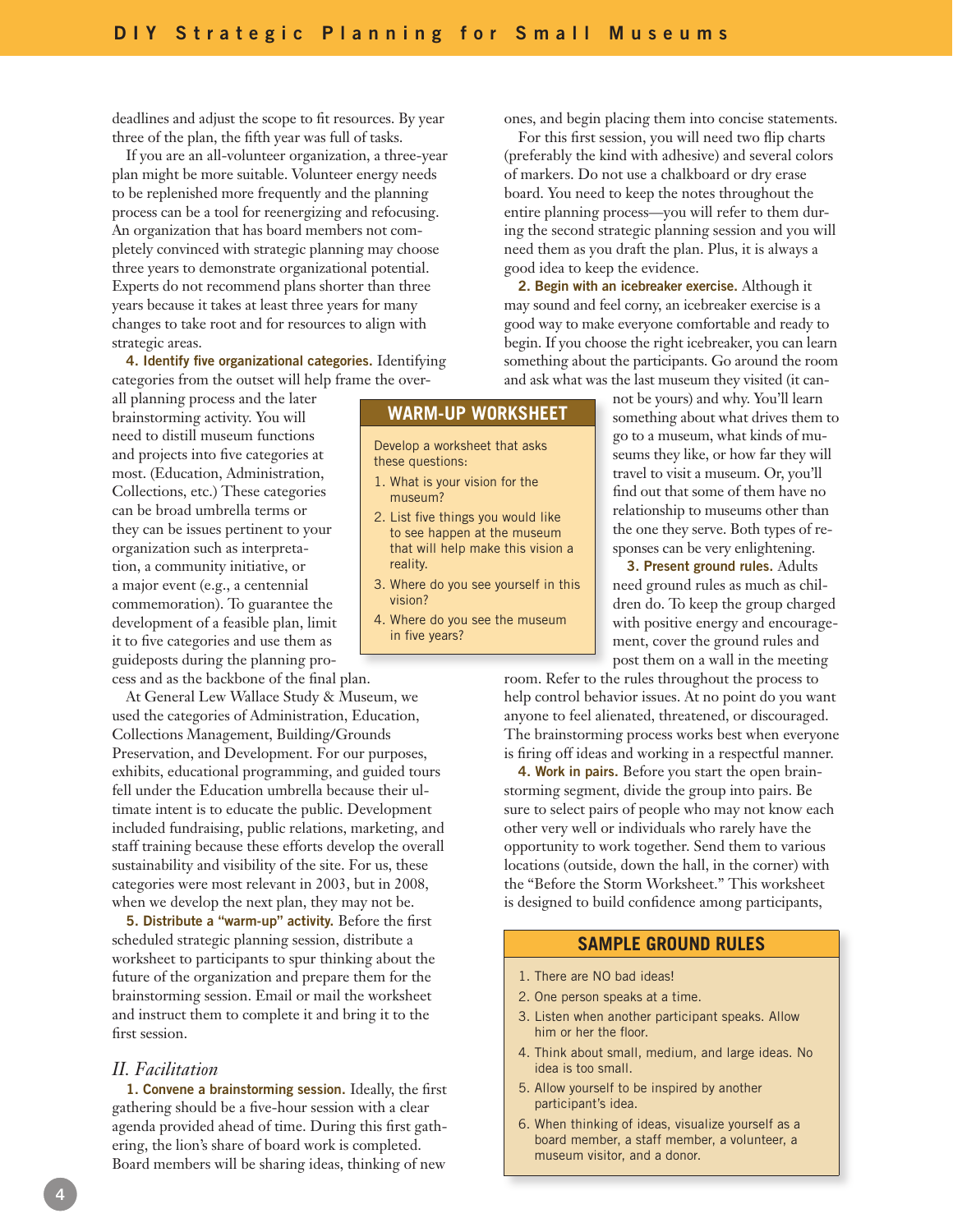deadlines and adjust the scope to fit resources. By year three of the plan, the fifth year was full of tasks.

If you are an all-volunteer organization, a three-year plan might be more suitable. Volunteer energy needs to be replenished more frequently and the planning process can be a tool for reenergizing and refocusing. An organization that has board members not completely convinced with strategic planning may choose three years to demonstrate organizational potential. Experts do not recommend plans shorter than three years because it takes at least three years for many changes to take root and for resources to align with strategic areas.

**4. Identify five organizational categories.** Identifying categories from the outset will help frame the over-

all planning process and the later brainstorming activity. You will need to distill museum functions and projects into five categories at most. (Education, Administration, Collections, etc.) These categories can be broad umbrella terms or they can be issues pertinent to your organization such as interpretation, a community initiative, or a major event (e.g., a centennial commemoration). To guarantee the development of a feasible plan, limit it to five categories and use them as guideposts during the planning process and as the backbone of the final plan.

At General Lew Wallace Study & Museum, we used the categories of Administration, Education, Collections Management, Building/Grounds Preservation, and Development. For our purposes, exhibits, educational programming, and guided tours fell under the Education umbrella because their ultimate intent is to educate the public. Development included fundraising, public relations, marketing, and staff training because these efforts develop the overall sustainability and visibility of the site. For us, these categories were most relevant in 2003, but in 2008, when we develop the next plan, they may not be.

**5. Distribute a "warm-up" activity.** Before the first scheduled strategic planning session, distribute a worksheet to participants to spur thinking about the future of the organization and prepare them for the brainstorming session. Email or mail the worksheet and instruct them to complete it and bring it to the first session.

## *II. Facilitation*

**1. Convene a brainstorming session.** Ideally, the first gathering should be a five-hour session with a clear agenda provided ahead of time. During this first gathering, the lion's share of board work is completed. Board members will be sharing ideas, thinking of new

ones, and begin placing them into concise statements.

For this first session, you will need two flip charts (preferably the kind with adhesive) and several colors of markers. Do not use a chalkboard or dry erase board. You need to keep the notes throughout the entire planning process—you will refer to them during the second strategic planning session and you will need them as you draft the plan. Plus, it is always a good idea to keep the evidence.

**2. Begin with an icebreaker exercise.** Although it may sound and feel corny, an icebreaker exercise is a good way to make everyone comfortable and ready to begin. If you choose the right icebreaker, you can learn something about the participants. Go around the room and ask what was the last museum they visited (it can-

# **WARM-UP WORKSHEET**

Develop a worksheet that asks these questions:

- 1. What is your vision for the museum?
- 2. List five things you would like to see happen at the museum that will help make this vision a reality.
- 3. Where do you see yourself in this vision?
- 4. Where do you see the museum in five years?

not be yours) and why. You'll learn something about what drives them to go to a museum, what kinds of museums they like, or how far they will travel to visit a museum. Or, you'll find out that some of them have no relationship to museums other than the one they serve. Both types of responses can be very enlightening.

**3. Present ground rules.** Adults need ground rules as much as children do. To keep the group charged with positive energy and encouragement, cover the ground rules and post them on a wall in the meeting

room. Refer to the rules throughout the process to help control behavior issues. At no point do you want anyone to feel alienated, threatened, or discouraged. The brainstorming process works best when everyone is firing off ideas and working in a respectful manner.

**4. Work in pairs.** Before you start the open brainstorming segment, divide the group into pairs. Be sure to select pairs of people who may not know each other very well or individuals who rarely have the opportunity to work together. Send them to various locations (outside, down the hall, in the corner) with the "Before the Storm Worksheet." This worksheet is designed to build confidence among participants,

#### **Sample Ground Rules**

- 1. There are NO bad ideas!
- 2. One person speaks at a time.
- 3. Listen when another participant speaks. Allow him or her the floor.
- 4. Think about small, medium, and large ideas. No idea is too small.
- 5. Allow yourself to be inspired by another participant's idea.
- 6. When thinking of ideas, visualize yourself as a board member, a staff member, a volunteer, a museum visitor, and a donor.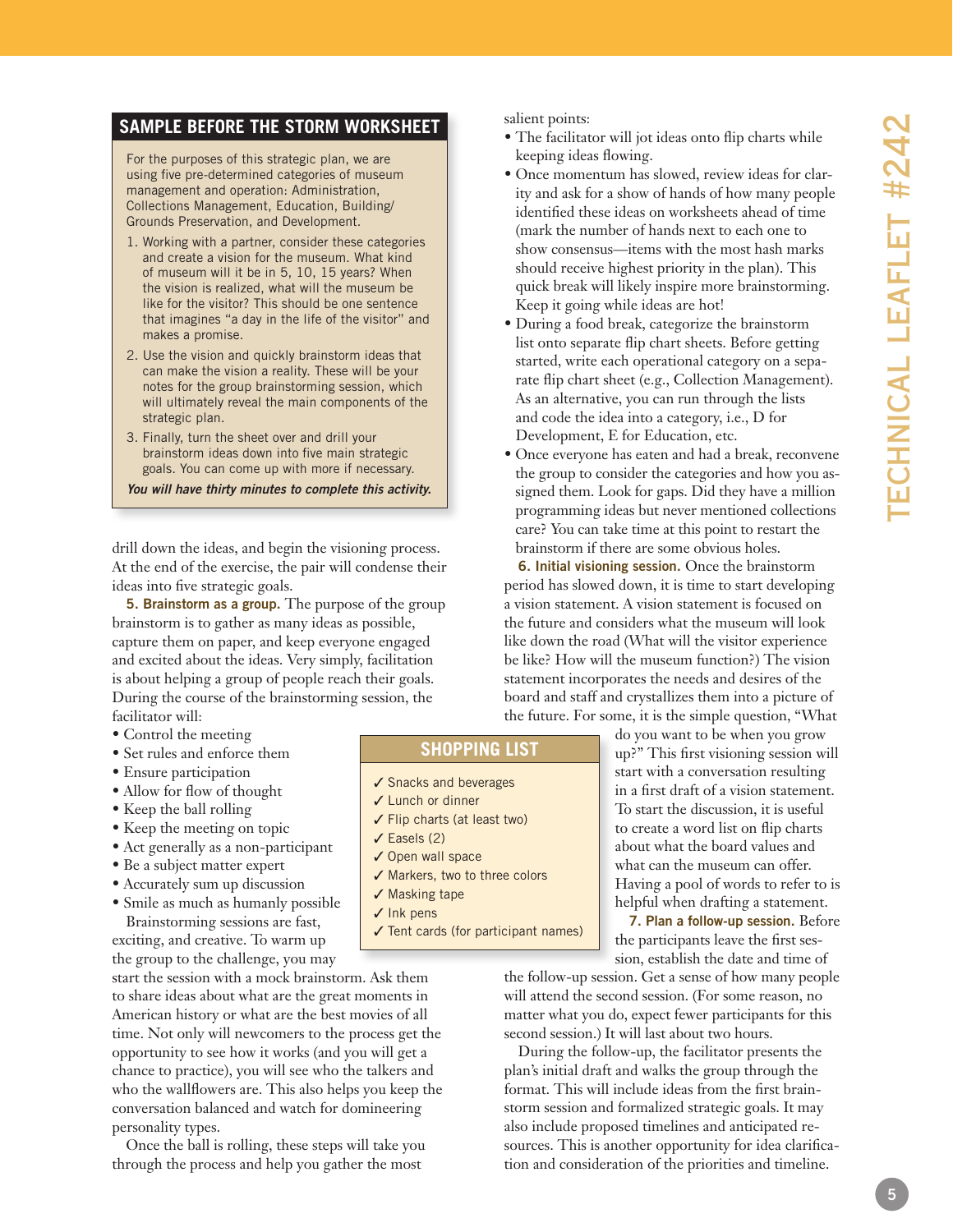# **SAMPLE BEFORE THE STORM WO**

For the purposes of this strategic plan, we are using five pre-determined categories of museum management and operation: Administration, Collections Management, Education, Building/ Grounds Preservation, and Development.

- 1. Working with a partner, consider these categories and create a vision for the museum. What kind of museum will it be in 5, 10, 15 years? When the vision is realized, what will the museum be like for the visitor? This should be one sentence that imagines "a day in the life of the visitor" and makes a promise.
- 2. Use the vision and quickly brainstorm ideas that can make the vision a reality. These will be your notes for the group brainstorming session, which will ultimately reveal the main components of the strategic plan.
- 3. Finally, turn the sheet over and drill your brainstorm ideas down into five main strategic goals. You can come up with more if necessary.

*You will have thirty minutes to complete this activity.*

drill down the ideas, and begin the visioning process. At the end of the exercise, the pair will condense their ideas into five strategic goals.

**5. Brainstorm as a group.** The purpose of the group brainstorm is to gather as many ideas as possible, capture them on paper, and keep everyone engaged and excited about the ideas. Very simply, facilitation is about helping a group of people reach their goals. During the course of the brainstorming session, the facilitator will:

- Control the meeting
- Set rules and enforce them
- Ensure participation
- Allow for flow of thought
- Keep the ball rolling
- Keep the meeting on topic
- Act generally as a non-participant
- Be a subject matter expert
- Accurately sum up discussion
- Smile as much as humanly possible Brainstorming sessions are fast,

exciting, and creative. To warm up the group to the challenge, you may

start the session with a mock brainstorm. Ask them to share ideas about what are the great moments in American history or what are the best movies of all time. Not only will newcomers to the process get the opportunity to see how it works (and you will get a chance to practice), you will see who the talkers and who the wallflowers are. This also helps you keep the conversation balanced and watch for domineering personality types.

Once the ball is rolling, these steps will take you through the process and help you gather the most

salient points:

- The facilitator will jot ideas onto flip charts while keeping ideas flowing.
- Once momentum has slowed, review ideas for clar ity and ask for a show of hands of how many people identified these ideas on worksheets ahead of time (mark the number of hands next to each one to show consensus—items with the most hash marks should receive highest priority in the plan). This quick break will likely inspire more brainstorming. Keep it going while ideas are hot!
- During a food break, categorize the brainstorm list onto separate flip chart sheets. Before getting started, write each operational category on a sepa rate flip chart sheet (e.g., Collection Management). As an alternative, you can run through the lists and code the idea into a category, i.e., D for Development, E for Education, etc.
- Once everyone has eaten and had a break, reconvene the group to consider the categories and how you as signed them. Look for gaps. Did they have a million programming ideas but never mentioned collections care? You can take time at this point to restart the brainstorm if there are some obvious holes.

**6. Initial visioning session.** Once the brainstorm period has slowed down, it is time to start developing a vision statement. A vision statement is focused on the future and considers what the museum will look like down the road (What will the visitor experience be like? How will the museum function?) The vision statement incorporates the needs and desires of the board and staff and crystallizes them into a picture of the future. For some, it is the simple question, "What

> do you want to be when you grow up?" This first visioning session will start with a conversation resulting in a first draft of a vision statement. To start the discussion, it is useful to create a word list on flip charts about what the board values and what can the museum can offer. Having a pool of words to refer to is helpful when drafting a statement.

> **7. Plan a follow-up session.** Before the participants leave the first ses sion, establish the date and time of

the follow-up session. Get a sense of how many people will attend the second session. (For some reason, no matter what you do, expect fewer participants for this second session.) It will last about two hours.

During the follow-up, the facilitator presents the plan's initial draft and walks the group through the format. This will include ideas from the first brain storm session and formalized strategic goals. It may also include proposed timelines and anticipated re sources. This is another opportunity for idea clarifica tion and consideration of the priorities and timeline.

# **SHOPPING** L

- ✔ Snacks and beverages
- √ Lunch or dinner
- √ Flip charts (at least two)
- $\checkmark$  Easels (2)
- √ Open wall space
- √ Markers, two to three colors
- ✔ Masking tape
- √ Ink pens
- √ Tent cards (for participant names)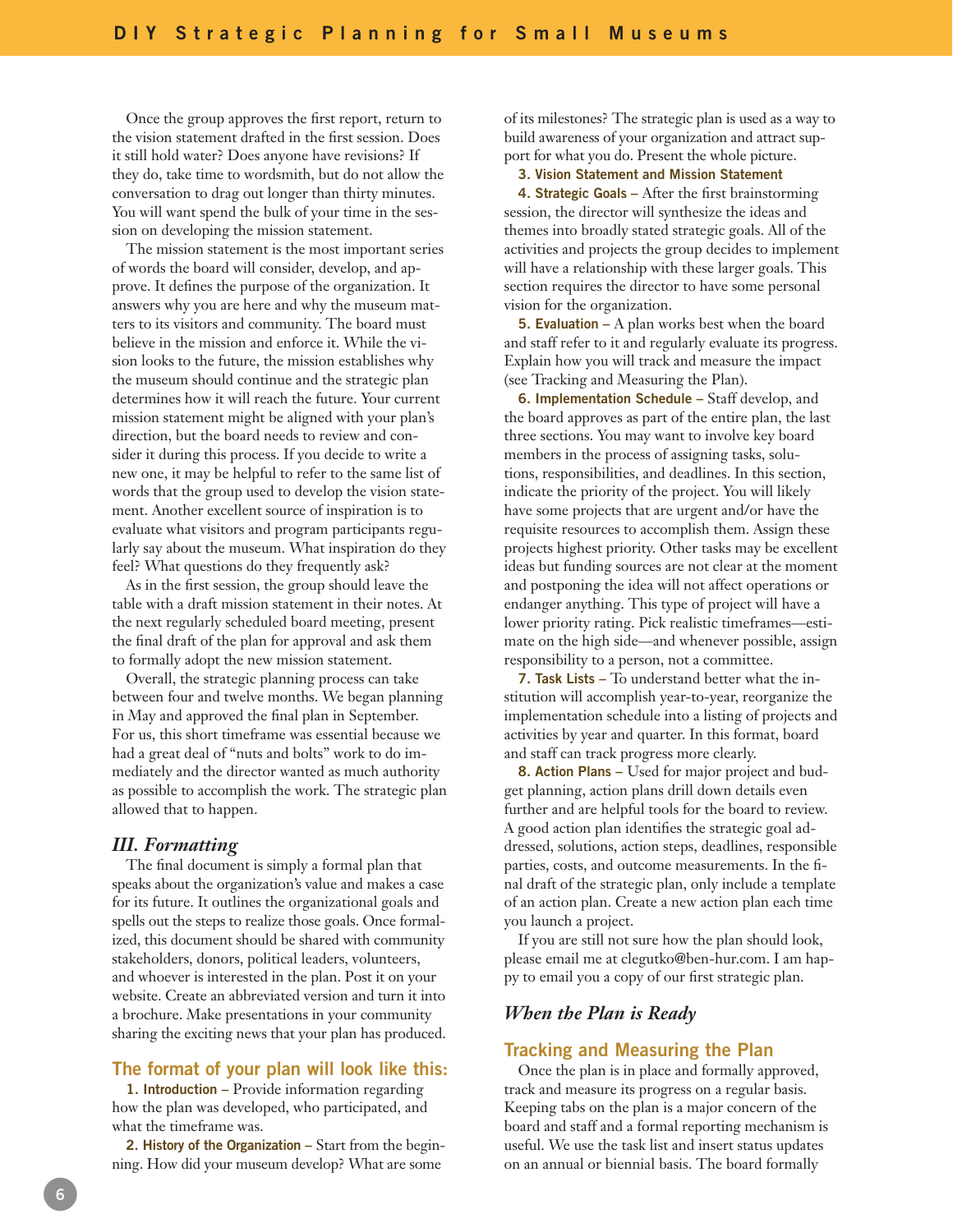Once the group approves the first report, return to the vision statement drafted in the first session. Does it still hold water? Does anyone have revisions? If they do, take time to wordsmith, but do not allow the conversation to drag out longer than thirty minutes. You will want spend the bulk of your time in the session on developing the mission statement.

The mission statement is the most important series of words the board will consider, develop, and approve. It defines the purpose of the organization. It answers why you are here and why the museum matters to its visitors and community. The board must believe in the mission and enforce it. While the vision looks to the future, the mission establishes why the museum should continue and the strategic plan determines how it will reach the future. Your current mission statement might be aligned with your plan's direction, but the board needs to review and consider it during this process. If you decide to write a new one, it may be helpful to refer to the same list of words that the group used to develop the vision statement. Another excellent source of inspiration is to evaluate what visitors and program participants regularly say about the museum. What inspiration do they feel? What questions do they frequently ask?

As in the first session, the group should leave the table with a draft mission statement in their notes. At the next regularly scheduled board meeting, present the final draft of the plan for approval and ask them to formally adopt the new mission statement.

Overall, the strategic planning process can take between four and twelve months. We began planning in May and approved the final plan in September. For us, this short timeframe was essential because we had a great deal of "nuts and bolts" work to do immediately and the director wanted as much authority as possible to accomplish the work. The strategic plan allowed that to happen.

#### *III. Formatting*

The final document is simply a formal plan that speaks about the organization's value and makes a case for its future. It outlines the organizational goals and spells out the steps to realize those goals. Once formalized, this document should be shared with community stakeholders, donors, political leaders, volunteers, and whoever is interested in the plan. Post it on your website. Create an abbreviated version and turn it into a brochure. Make presentations in your community sharing the exciting news that your plan has produced.

## **The format of your plan will look like this:**

**1. Introduction –** Provide information regarding how the plan was developed, who participated, and what the timeframe was.

**2. History of the Organization –** Start from the beginning. How did your museum develop? What are some

of its milestones? The strategic plan is used as a way to build awareness of your organization and attract support for what you do. Present the whole picture.

#### **3. Vision Statement and Mission Statement**

**4. Strategic Goals –** After the first brainstorming session, the director will synthesize the ideas and themes into broadly stated strategic goals. All of the activities and projects the group decides to implement will have a relationship with these larger goals. This section requires the director to have some personal vision for the organization.

**5. Evaluation –** A plan works best when the board and staff refer to it and regularly evaluate its progress. Explain how you will track and measure the impact (see Tracking and Measuring the Plan).

**6. Implementation Schedule –** Staff develop, and the board approves as part of the entire plan, the last three sections. You may want to involve key board members in the process of assigning tasks, solutions, responsibilities, and deadlines. In this section, indicate the priority of the project. You will likely have some projects that are urgent and/or have the requisite resources to accomplish them. Assign these projects highest priority. Other tasks may be excellent ideas but funding sources are not clear at the moment and postponing the idea will not affect operations or endanger anything. This type of project will have a lower priority rating. Pick realistic timeframes—estimate on the high side—and whenever possible, assign responsibility to a person, not a committee.

**7. Task Lists –** To understand better what the institution will accomplish year-to-year, reorganize the implementation schedule into a listing of projects and activities by year and quarter. In this format, board and staff can track progress more clearly.

**8. Action Plans –** Used for major project and budget planning, action plans drill down details even further and are helpful tools for the board to review. A good action plan identifies the strategic goal addressed, solutions, action steps, deadlines, responsible parties, costs, and outcome measurements. In the final draft of the strategic plan, only include a template of an action plan. Create a new action plan each time you launch a project.

If you are still not sure how the plan should look, please email me at clegutko@ben-hur.com. I am happy to email you a copy of our first strategic plan.

# *When the Plan is Ready*

#### **Tracking and Measuring the Plan**

Once the plan is in place and formally approved, track and measure its progress on a regular basis. Keeping tabs on the plan is a major concern of the board and staff and a formal reporting mechanism is useful. We use the task list and insert status updates on an annual or biennial basis. The board formally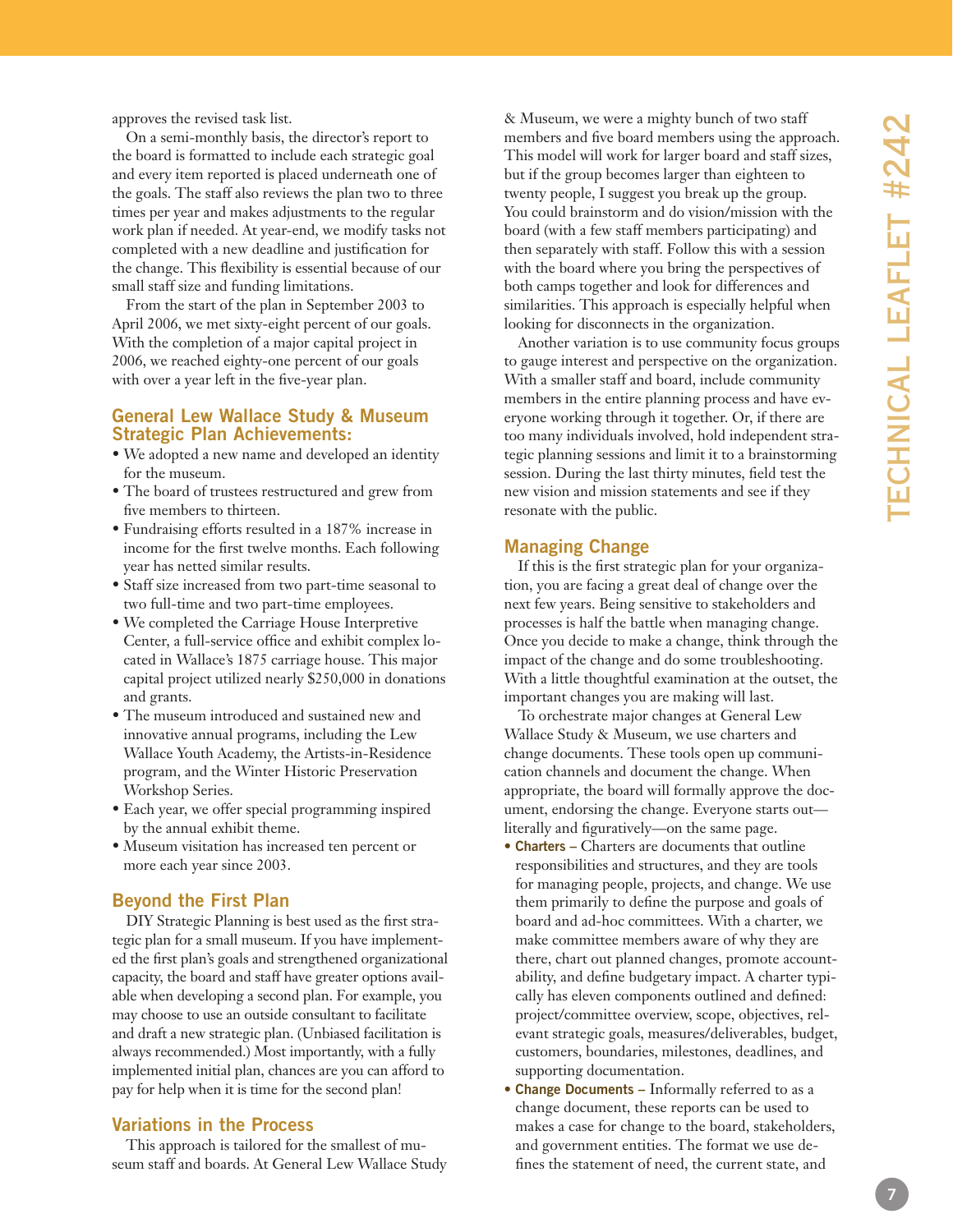approves the revised task list.

On a semi-monthly basis, the director's report to the board is formatted to include each strategic goal and every item reported is placed underneath one of the goals. The staff also reviews the plan two to three times per year and makes adjustments to the regular work plan if needed. At year-end, we modify tasks not completed with a new deadline and justification for the change. This flexibility is essential because of our small staff size and funding limitations.

From the start of the plan in September 2003 to April 2006, we met sixty-eight percent of our goals. With the completion of a major capital project in 2006, we reached eighty-one percent of our goals with over a year left in the five-year plan.

# **General Lew Wallace Study & Museum Strategic Plan Achievements:**

- We adopted a new name and developed an identity for the museum.
- The board of trustees restructured and grew from five members to thirteen.
- Fundraising efforts resulted in a 187% increase in income for the first twelve months. Each following year has netted similar results.
- Staff size increased from two part-time seasonal to two full-time and two part-time employees.
- We completed the Carriage House Interpretive Center, a full-service office and exhibit complex lo cated in Wallace's 1875 carriage house. This major capital project utilized nearly \$250,000 in donations and grants.
- The museum introduced and sustained new and innovative annual programs, including the Lew Wallace Youth Academy, the Artists-in-Residence program, and the Winter Historic Preservation Workshop Series.
- Each year, we offer special programming inspired by the annual exhibit theme.
- Museum visitation has increased ten percent or more each year since 2003.

# **Beyond the First Plan**

DIY Strategic Planning is best used as the first stra tegic plan for a small museum. If you have implement ed the first plan's goals and strengthened organizational capacity, the board and staff have greater options avail able when developing a second plan. For example, you may choose to use an outside consultant to facilitate and draft a new strategic plan. (Unbiased facilitation is always recommended.) Most importantly, with a fully implemented initial plan, chances are you can afford to pay for help when it is time for the second plan!

## **Variations in the Process**

This approach is tailored for the smallest of museum staff and boards. At General Lew Wallace Study & Museum, we were a mighty bunch of two staff members and five board members using the approach. This model will work for larger board and staff sizes, but if the group becomes larger than eighteen to twenty people, I suggest you break up the group. You could brainstorm and do vision/mission with the board (with a few staff members participating) and then separately with staff. Follow this with a session with the board where you bring the perspectives of both camps together and look for differences and similarities. This approach is especially helpful when looking for disconnects in the organization.

Another variation is to use community focus groups to gauge interest and perspective on the organization. With a smaller staff and board, include community members in the entire planning process and have ev eryone working through it together. Or, if there are too many individuals involved, hold independent stra tegic planning sessions and limit it to a brainstorming session. During the last thirty minutes, field test the new vision and mission statements and see if they resonate with the public.

# **Managing Change**

If this is the first strategic plan for your organiza tion, you are facing a great deal of change over the next few years. Being sensitive to stakeholders and processes is half the battle when managing change. Once you decide to make a change, think through the impact of the change and do some troubleshooting. With a little thoughtful examination at the outset, the important changes you are making will last.

To orchestrate major changes at General Lew Wallace Study & Museum, we use charters and change documents. These tools open up communi cation channels and document the change. When appropriate, the board will formally approve the doc ument, endorsing the change. Everyone starts out literally and figuratively—on the same page.

- **Charters –** Charters are documents that outline responsibilities and structures, and they are tools for managing people, projects, and change. We use them primarily to define the purpose and goals of board and ad-hoc committees. With a charter, we make committee members aware of why they are there, chart out planned changes, promote account ability, and define budgetary impact. A charter typi cally has eleven components outlined and defined: project/committee overview, scope, objectives, rel evant strategic goals, measures/deliverables, budget, customers, boundaries, milestones, deadlines, and supporting documentation.
- **Change Documents** Informally referred to as a change document, these reports can be used to makes a case for change to the board, stakeholders, and government entities. The format we use de fines the statement of need, the current state, and